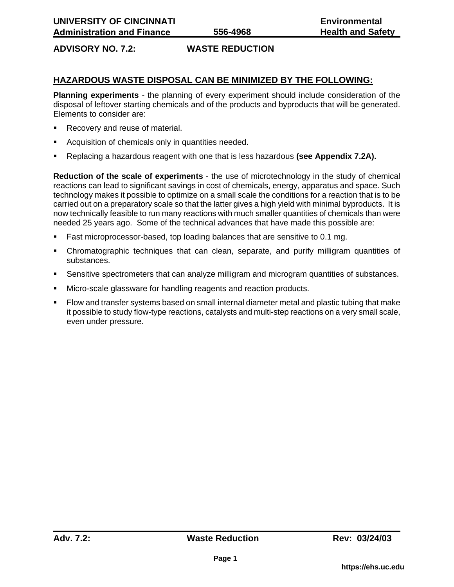## **ADVISORY NO. 7.2: WASTE REDUCTION**

### **HAZARDOUS WASTE DISPOSAL CAN BE MINIMIZED BY THE FOLLOWING:**

**Planning experiments** - the planning of every experiment should include consideration of the disposal of leftover starting chemicals and of the products and byproducts that will be generated. Elements to consider are:

- Recovery and reuse of material.
- Acquisition of chemicals only in quantities needed.
- ! Replacing a hazardous reagent with one that is less hazardous **(see Appendix 7.2A).**

**Reduction of the scale of experiments** - the use of microtechnology in the study of chemical reactions can lead to significant savings in cost of chemicals, energy, apparatus and space. Such technology makes it possible to optimize on a small scale the conditions for a reaction that is to be carried out on a preparatory scale so that the latter gives a high yield with minimal byproducts. It is now technically feasible to run many reactions with much smaller quantities of chemicals than were needed 25 years ago. Some of the technical advances that have made this possible are:

- ! Fast microprocessor-based, top loading balances that are sensitive to 0.1 mg.
- ! Chromatographic techniques that can clean, separate, and purify milligram quantities of substances.
- Sensitive spectrometers that can analyze milligram and microgram quantities of substances.
- Micro-scale glassware for handling reagents and reaction products.
- ! Flow and transfer systems based on small internal diameter metal and plastic tubing that make it possible to study flow-type reactions, catalysts and multi-step reactions on a very small scale, even under pressure.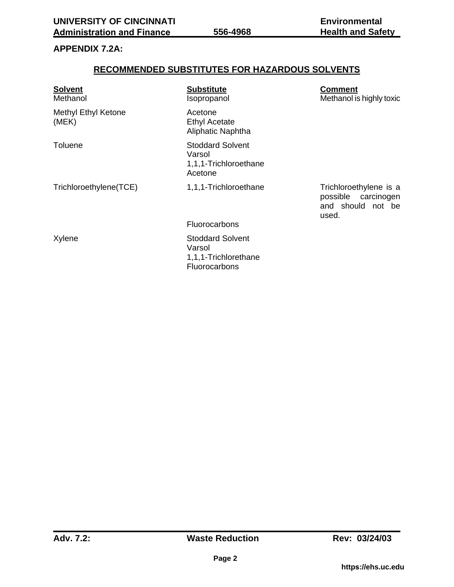# **APPENDIX 7.2A:**

## **RECOMMENDED SUBSTITUTES FOR HAZARDOUS SOLVENTS**

| <b>Solvent</b><br>Methanol   | <b>Substitute</b><br>Isopropanol                                      | <b>Comment</b><br>Methanol is highly toxic                                  |
|------------------------------|-----------------------------------------------------------------------|-----------------------------------------------------------------------------|
| Methyl Ethyl Ketone<br>(MEK) | Acetone<br><b>Ethyl Acetate</b><br>Aliphatic Naphtha                  |                                                                             |
| Toluene                      | <b>Stoddard Solvent</b><br>Varsol<br>1,1,1-Trichloroethane<br>Acetone |                                                                             |
| Trichloroethylene(TCE)       | 1,1,1-Trichloroethane                                                 | Trichloroethylene is a<br>possible<br>carcinogen<br>and should<br>not<br>be |

used.

**Fluorocarbons** 

Xylene Stoddard Solvent Varsol 1,1,1-Trichlorethane **Fluorocarbons**